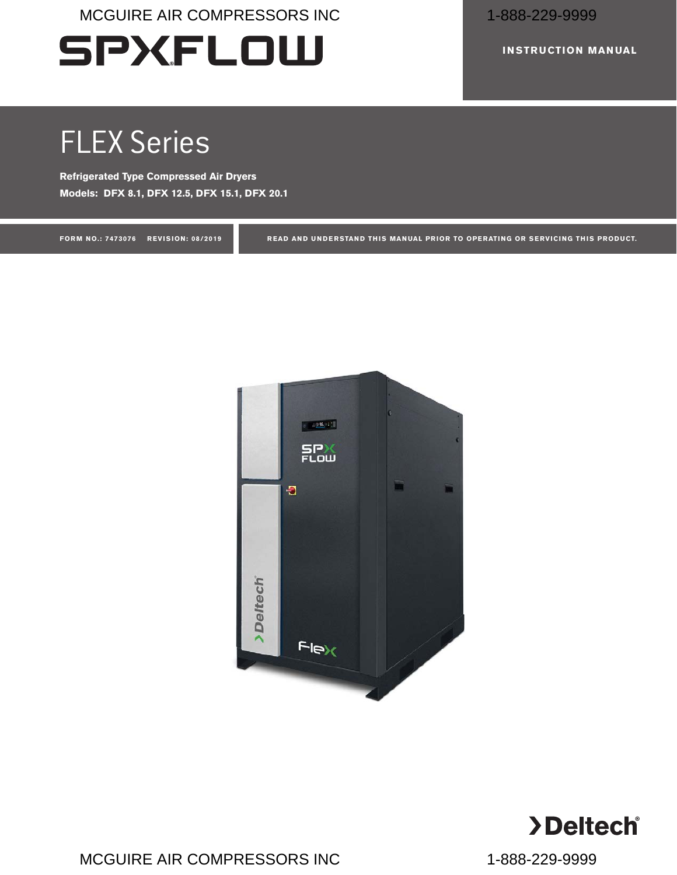# **SPXFLOW**

**INSTRUCTION MANUAL**

# FLEX Series

**Refrigerated Type Compressed Air Dryers Models: DFX 8.1, DFX 12.5, DFX 15.1, DFX 20.1**

**FORM NO.: 7473076 REVISION: 08/2019 READ AND UNDERSTAND THIS MANUAL PRIOR TO OPERATING OR SERVICING THIS PRODUCT.**



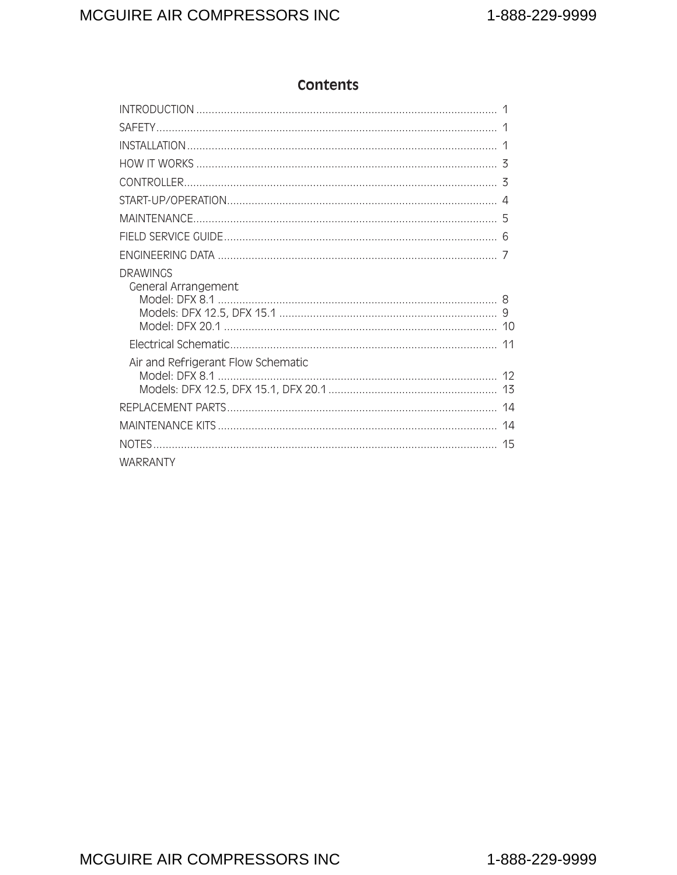## **Contents**

| <b>DRAWINGS</b><br>General Arrangement |  |
|----------------------------------------|--|
|                                        |  |
| Air and Refrigerant Flow Schematic     |  |
|                                        |  |
|                                        |  |
|                                        |  |
| <b>WARRANTY</b>                        |  |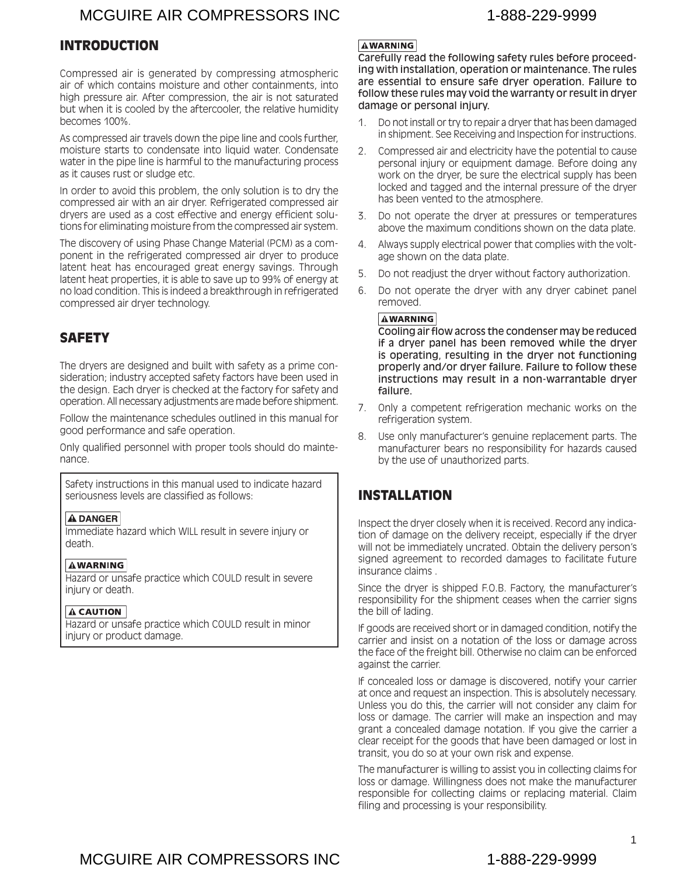#### <span id="page-2-0"></span>INTRODUCTION

Compressed air is generated by compressing atmospheric air of which contains moisture and other containments, into high pressure air. After compression, the air is not saturated but when it is cooled by the aftercooler, the relative humidity becomes 100%.

As compressed air travels down the pipe line and cools further, moisture starts to condensate into liquid water. Condensate water in the pipe line is harmful to the manufacturing process as it causes rust or sludge etc.

In order to avoid this problem, the only solution is to dry the compressed air with an air dryer. Refrigerated compressed air dryers are used as a cost effective and energy efficient solutions for eliminating moisture from the compressed air system.

The discovery of using Phase Change Material (PCM) as a component in the refrigerated compressed air dryer to produce latent heat has encouraged great energy savings. Through latent heat properties, it is able to save up to 99% of energy at no load condition. This is indeed a breakthrough in refrigerated compressed air dryer technology.

#### **SAFETY**

The dryers are designed and built with safety as a prime consideration; industry accepted safety factors have been used in the design. Each dryer is checked at the factory for safety and operation. All necessary adjustments are made before shipment.

Follow the maintenance schedules outlined in this manual for good performance and safe operation.

Only qualified personnel with proper tools should do maintenance.

Safety instructions in this manual used to indicate hazard seriousness levels are classified as follows:

#### **A DANGER**

Immediate hazard which WILL result in severe injury or death.

#### **AWARNING**

Hazard or unsafe practice which COULD result in severe injury or death.

#### $\Lambda$  CAUTION

Hazard or unsafe practice which COULD result in minor injury or product damage.

#### **AWARNING**

Carefully read the following safety rules before proceeding with installation, operation or maintenance. The rules are essential to ensure safe dryer operation. Failure to follow these rules may void the warranty or result in dryer damage or personal injury.

- 1. Do not install or try to repair a dryer that has been damaged in shipment. See Receiving and Inspection for instructions.
- 2. Compressed air and electricity have the potential to cause personal injury or equipment damage. Before doing any work on the dryer, be sure the electrical supply has been locked and tagged and the internal pressure of the dryer has been vented to the atmosphere.
- 3. Do not operate the dryer at pressures or temperatures above the maximum conditions shown on the data plate.
- 4. Always supply electrical power that complies with the voltage shown on the data plate.
- 5. Do not readjust the dryer without factory authorization.
- 6. Do not operate the dryer with any dryer cabinet panel removed.

#### **AWARNING**

Cooling air flow across the condenser may be reduced if a dryer panel has been removed while the dryer is operating, resulting in the dryer not functioning properly and/or dryer failure. Failure to follow these instructions may result in a non-warrantable dryer failure.

- 7. Only a competent refrigeration mechanic works on the refrigeration system.
- 8. Use only manufacturer's genuine replacement parts. The manufacturer bears no responsibility for hazards caused by the use of unauthorized parts.

#### INSTALLATION

Inspect the dryer closely when it is received. Record any indication of damage on the delivery receipt, especially if the dryer will not be immediately uncrated. Obtain the delivery person's signed agreement to recorded damages to facilitate future insurance claims .

Since the dryer is shipped F.O.B. Factory, the manufacturer's responsibility for the shipment ceases when the carrier signs the bill of lading.

If goods are received short or in damaged condition, notify the carrier and insist on a notation of the loss or damage across the face of the freight bill. Otherwise no claim can be enforced against the carrier.

If concealed loss or damage is discovered, notify your carrier at once and request an inspection. This is absolutely necessary. Unless you do this, the carrier will not consider any claim for loss or damage. The carrier will make an inspection and may grant a concealed damage notation. If you give the carrier a clear receipt for the goods that have been damaged or lost in transit, you do so at your own risk and expense.

The manufacturer is willing to assist you in collecting claims for loss or damage. Willingness does not make the manufacturer responsible for collecting claims or replacing material. Claim filing and processing is your responsibility.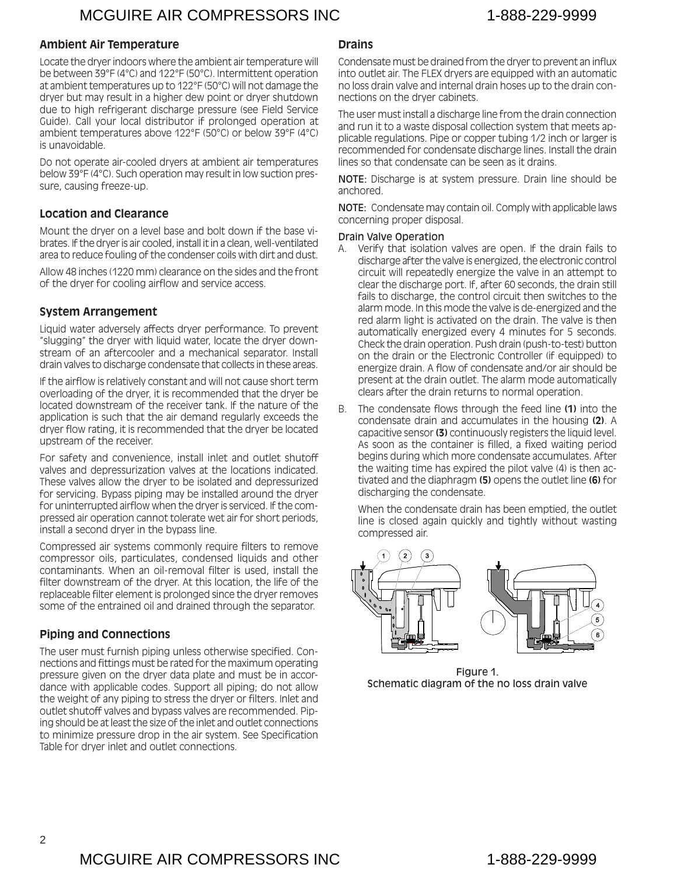#### **Ambient Air Temperature**

Locate the dryer indoors where the ambient air temperature will be between 39°F (4°C) and 122°F (50°C). Intermittent operation at ambient temperatures up to 122°F (50°C) will not damage the dryer but may result in a higher dew point or dryer shutdown due to high refrigerant discharge pressure (see Field Service Guide). Call your local distributor if prolonged operation at ambient temperatures above 122°F (50°C) or below 39°F (4°C) is unavoidable.

Do not operate air-cooled dryers at ambient air temperatures below 39°F (4°C). Such operation may result in low suction pressure, causing freeze-up.

#### **Location and Clearance**

Mount the dryer on a level base and bolt down if the base vibrates. If the dryer is air cooled, install it in a clean, well-ventilated area to reduce fouling of the condenser coils with dirt and dust.

Allow 48 inches (1220 mm) clearance on the sides and the front of the dryer for cooling airflow and service access.

#### **System Arrangement**

Liquid water adversely affects dryer performance. To prevent "slugging" the dryer with liquid water, locate the dryer downstream of an aftercooler and a mechanical separator. Install drain valves to discharge condensate that collects in these areas.

If the airflow is relatively constant and will not cause short term overloading of the dryer, it is recommended that the dryer be located downstream of the receiver tank. If the nature of the application is such that the air demand regularly exceeds the dryer flow rating, it is recommended that the dryer be located upstream of the receiver.

For safety and convenience, install inlet and outlet shutoff valves and depressurization valves at the locations indicated. These valves allow the dryer to be isolated and depressurized for servicing. Bypass piping may be installed around the dryer for uninterrupted airflow when the dryer is serviced. If the compressed air operation cannot tolerate wet air for short periods, install a second dryer in the bypass line.

Compressed air systems commonly require filters to remove compressor oils, particulates, condensed liquids and other contaminants. When an oil-removal filter is used, install the filter downstream of the dryer. At this location, the life of the replaceable filter element is prolonged since the dryer removes some of the entrained oil and drained through the separator.

#### **Piping and Connections**

The user must furnish piping unless otherwise specified. Connections and fittings must be rated for the maximum operating pressure given on the dryer data plate and must be in accordance with applicable codes. Support all piping; do not allow the weight of any piping to stress the dryer or filters. Inlet and outlet shutoff valves and bypass valves are recommended. Piping should be at least the size of the inlet and outlet connections to minimize pressure drop in the air system. See Specification Table for dryer inlet and outlet connections.

#### **Drains**

Condensate must be drained from the dryer to prevent an influx into outlet air. The FLEX dryers are equipped with an automatic no loss drain valve and internal drain hoses up to the drain connections on the dryer cabinets.

The user must install a discharge line from the drain connection and run it to a waste disposal collection system that meets applicable regulations. Pipe or copper tubing 1/2 inch or larger is recommended for condensate discharge lines. Install the drain lines so that condensate can be seen as it drains.

NOTE: Discharge is at system pressure. Drain line should be anchored.

NOTE: Condensate may contain oil. Comply with applicable laws concerning proper disposal.

#### Drain Valve Operation

- A. Verify that isolation valves are open. If the drain fails to discharge after the valve is energized, the electronic control circuit will repeatedly energize the valve in an attempt to clear the discharge port. If, after 60 seconds, the drain still fails to discharge, the control circuit then switches to the alarm mode. In this mode the valve is de-energized and the red alarm light is activated on the drain. The valve is then automatically energized every 4 minutes for 5 seconds. Check the drain operation. Push drain (push-to-test) button on the drain or the Electronic Controller (if equipped) to energize drain. A flow of condensate and/or air should be present at the drain outlet. The alarm mode automatically clears after the drain returns to normal operation.
- B. The condensate flows through the feed line **(1)** into the condensate drain and accumulates in the housing **(2)**. A capacitive sensor **(3)** continuously registers the liquid level. As soon as the container is filled, a fixed waiting period begins during which more condensate accumulates. After the waiting time has expired the pilot valve (4) is then activated and the diaphragm **(5)** opens the outlet line **(6)** for discharging the condensate.

When the condensate drain has been emptied, the outlet line is closed again quickly and tightly without wasting compressed air.



Figure 1. Schematic diagram of the no loss drain valve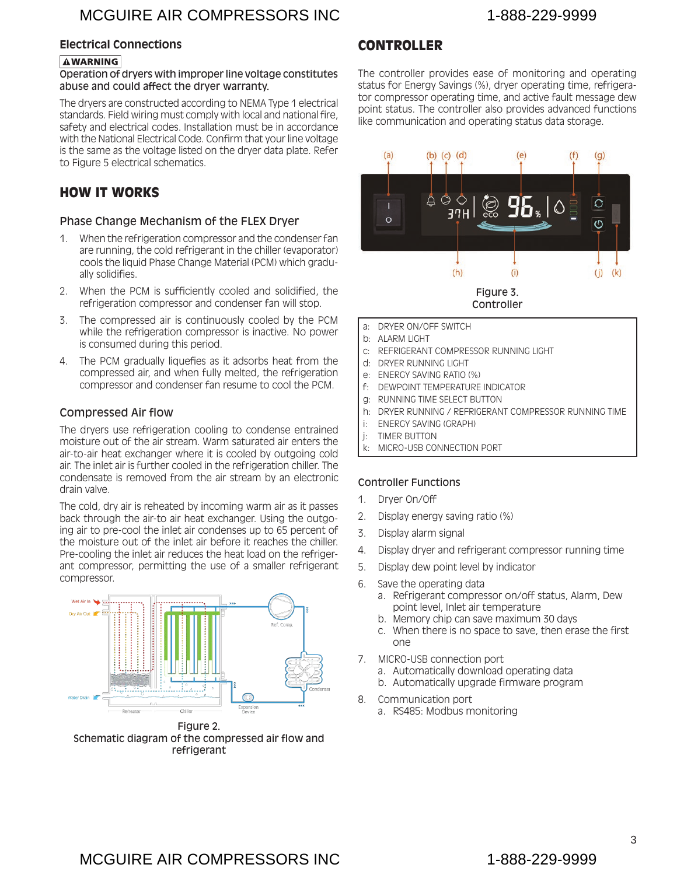#### <span id="page-4-0"></span>**Electrical Connections**

#### **AWARNING**

#### Operation of dryers with improper line voltage constitutes abuse and could affect the dryer warranty.

The dryers are constructed according to NEMA Type 1 electrical standards. Field wiring must comply with local and national fire, safety and electrical codes. Installation must be in accordance with the National Electrical Code. Confirm that your line voltage is the same as the voltage listed on the dryer data plate. Refer to Figure 5 electrical schematics.

#### HOW IT WORKS

#### Phase Change Mechanism of the FLEX Dryer

- 1. When the refrigeration compressor and the condenser fan are running, the cold refrigerant in the chiller (evaporator) cools the liquid Phase Change Material (PCM) which gradually solidifies.
- 2. When the PCM is sufficiently cooled and solidified, the refrigeration compressor and condenser fan will stop.
- 3. The compressed air is continuously cooled by the PCM while the refrigeration compressor is inactive. No power is consumed during this period.
- 4. The PCM gradually liquefies as it adsorbs heat from the compressed air, and when fully melted, the refrigeration compressor and condenser fan resume to cool the PCM.

#### Compressed Air flow

The dryers use refrigeration cooling to condense entrained moisture out of the air stream. Warm saturated air enters the air-to-air heat exchanger where it is cooled by outgoing cold air. The inlet air is further cooled in the refrigeration chiller. The condensate is removed from the air stream by an electronic drain valve.

The cold, dry air is reheated by incoming warm air as it passes back through the air-to air heat exchanger. Using the outgoing air to pre-cool the inlet air condenses up to 65 percent of the moisture out of the inlet air before it reaches the chiller. Pre-cooling the inlet air reduces the heat load on the refrigerant compressor, permitting the use of a smaller refrigerant compressor.



Figure 2. Schematic diagram of the compressed air flow and refrigerant

#### CONTROLLER

The controller provides ease of monitoring and operating status for Energy Savings (%), dryer operating time, refrigerator compressor operating time, and active fault message dew point status. The controller also provides advanced functions like communication and operating status data storage.



a: DRYER ON/OFF SWITCH

- b: ALARM LIGHT
- c: REFRIGERANT COMPRESSOR RUNNING LIGHT
- d: DRYER RUNNING LIGHT
- e: ENERGY SAVING RATIO (%)
- f: DEWPOINT TEMPERATURE INDICATOR
- g: RUNNING TIME SELECT BUTTON
- h: DRYER RUNNING / REFRIGERANT COMPRESSOR RUNNING TIME
- i: ENERGY SAVING (GRAPH)
- j: TIMER BUTTON
- k: MICRO-USB CONNECTION PORT

#### Controller Functions

- 1. Dryer On/Off
- 2. Display energy saving ratio (%)
- 3. Display alarm signal
- 4. Display dryer and refrigerant compressor running time
- 5. Display dew point level by indicator
- 6. Save the operating data
	- a. Refrigerant compressor on/off status, Alarm, Dew point level, Inlet air temperature
	- b. Memory chip can save maximum 30 days
	- c. When there is no space to save, then erase the first one
- 7. MICRO-USB connection port
	- a. Automatically download operating data
	- b. Automatically upgrade firmware program
- 8. Communication port
	- a. RS485: Modbus monitoring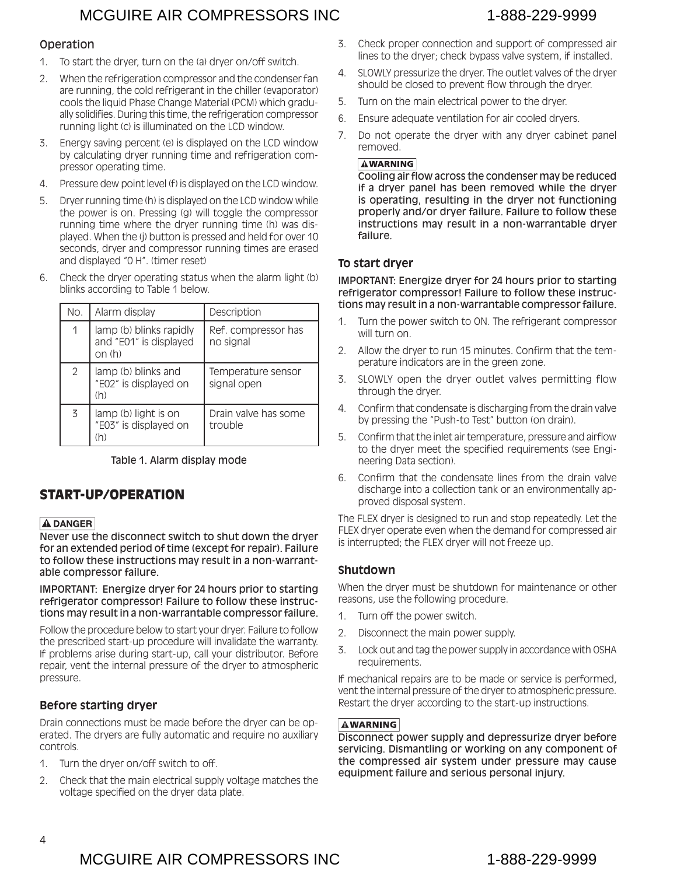#### <span id="page-5-0"></span>Operation

- 1. To start the dryer, turn on the (a) dryer on/off switch.
- 2. When the refrigeration compressor and the condenser fan are running, the cold refrigerant in the chiller (evaporator) cools the liquid Phase Change Material (PCM) which gradually solidifies. During this time, the refrigeration compressor running light (c) is illuminated on the LCD window.
- 3. Energy saving percent (e) is displayed on the LCD window by calculating dryer running time and refrigeration compressor operating time.
- 4. Pressure dew point level (f) is displayed on the LCD window.
- 5. Dryer running time (h) is displayed on the LCD window while the power is on. Pressing (g) will toggle the compressor running time where the dryer running time (h) was displayed. When the (j) button is pressed and held for over 10 seconds, dryer and compressor running times are erased and displayed "0 H". (timer reset)
- 6. Check the dryer operating status when the alarm light (b) blinks according to Table 1 below.

| No. | Alarm display                                              | Description                       |
|-----|------------------------------------------------------------|-----------------------------------|
| 1   | lamp (b) blinks rapidly<br>and "E01" is displayed<br>on(h) | Ref. compressor has<br>no signal  |
| 2   | lamp (b) blinks and<br>"E02" is displayed on<br>(h)        | Temperature sensor<br>signal open |
| 3   | lamp (b) light is on<br>"E03" is displayed on<br>(h)       | Drain valve has some<br>trouble   |

Table 1. Alarm display mode

# START-UP/OPERATION

#### **A DANGER**

Never use the disconnect switch to shut down the dryer for an extended period of time (except for repair). Failure to follow these instructions may result in a non-warrantable compressor failure.

IMPORTANT: Energize dryer for 24 hours prior to starting refrigerator compressor! Failure to follow these instructions may result in a non-warrantable compressor failure.

Follow the procedure below to start your dryer. Failure to follow the prescribed start-up procedure will invalidate the warranty. If problems arise during start-up, call your distributor. Before repair, vent the internal pressure of the dryer to atmospheric pressure.

### **Before starting dryer**

Drain connections must be made before the dryer can be operated. The dryers are fully automatic and require no auxiliary controls.

- 1. Turn the dryer on/off switch to off.
- 2. Check that the main electrical supply voltage matches the voltage specified on the dryer data plate.
- 3. Check proper connection and support of compressed air lines to the dryer; check bypass valve system, if installed.
- 4. SLOWLY pressurize the dryer. The outlet valves of the dryer should be closed to prevent flow through the dryer.
- 5. Turn on the main electrical power to the dryer.
- 6. Ensure adequate ventilation for air cooled dryers.
- 7. Do not operate the dryer with any dryer cabinet panel removed.

#### **AWARNING**

Cooling air flow across the condenser may be reduced if a dryer panel has been removed while the dryer is operating, resulting in the dryer not functioning properly and/or dryer failure. Failure to follow these instructions may result in a non-warrantable dryer failure.

### **To start dryer**

IMPORTANT: Energize dryer for 24 hours prior to starting refrigerator compressor! Failure to follow these instructions may result in a non-warrantable compressor failure.

- 1. Turn the power switch to ON. The refrigerant compressor will turn on.
- 2. Allow the dryer to run 15 minutes. Confirm that the temperature indicators are in the green zone.
- 3. SLOWLY open the dryer outlet valves permitting flow through the dryer.
- 4. Confirm that condensate is discharging from the drain valve by pressing the "Push-to Test" button (on drain).
- 5. Confirm that the inlet air temperature, pressure and airflow to the dryer meet the specified requirements (see Engineering Data section).
- 6. Confirm that the condensate lines from the drain valve discharge into a collection tank or an environmentally approved disposal system.

The FLEX dryer is designed to run and stop repeatedly. Let the FLEX dryer operate even when the demand for compressed air is interrupted; the FLEX dryer will not freeze up.

#### **Shutdown**

When the dryer must be shutdown for maintenance or other reasons, use the following procedure.

- 1. Turn off the power switch.
- 2. Disconnect the main power supply.
- 3. Lock out and tag the power supply in accordance with OSHA requirements.

If mechanical repairs are to be made or service is performed, vent the internal pressure of the dryer to atmospheric pressure. Restart the dryer according to the start-up instructions.

#### **AWARNING**

Disconnect power supply and depressurize dryer before servicing. Dismantling or working on any component of the compressed air system under pressure may cause equipment failure and serious personal injury.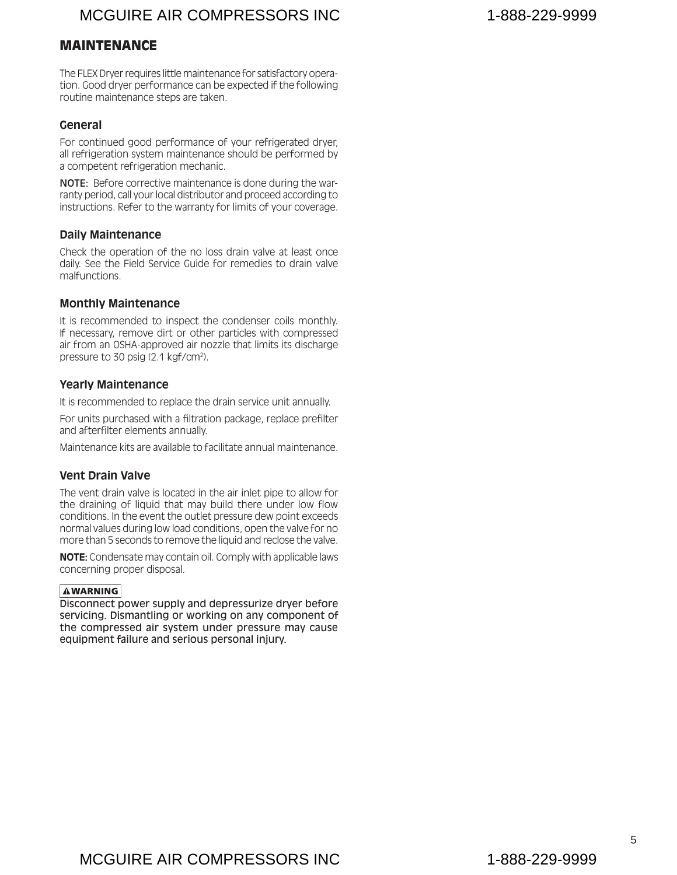#### <span id="page-6-0"></span>MAINTENANCE

The FLEX Dryer requires little maintenance for satisfactory operation. Good dryer performance can be expected if the following routine maintenance steps are taken.

#### **General**

For continued good performance of your refrigerated dryer, all refrigeration system maintenance should be performed by a competent refrigeration mechanic.

NOTE: Before corrective maintenance is done during the warranty period, call your local distributor and proceed according to instructions. Refer to the warranty for limits of your coverage.

#### **Daily Maintenance**

Check the operation of the no loss drain valve at least once daily. See the Field Service Guide for remedies to drain valve malfunctions.

#### **Monthly Maintenance**

It is recommended to inspect the condenser coils monthly. If necessary, remove dirt or other particles with compressed air from an OSHA-approved air nozzle that limits its discharge pressure to 30 psig (2.1 kgf/cm2 ).

#### **Yearly Maintenance**

It is recommended to replace the drain service unit annually.

For units purchased with a filtration package, replace prefilter and afterfilter elements annually.

Maintenance kits are available to facilitate annual maintenance.

#### **Vent Drain Valve**

The vent drain valve is located in the air inlet pipe to allow for the draining of liquid that may build there under low flow conditions. In the event the outlet pressure dew point exceeds normal values during low load conditions, open the valve for no more than 5 seconds to remove the liquid and reclose the valve.

**NOTE:** Condensate may contain oil. Comply with applicable laws concerning proper disposal.

#### **AWARNING**

Disconnect power supply and depressurize dryer before servicing. Dismantling or working on any component of the compressed air system under pressure may cause equipment failure and serious personal injury.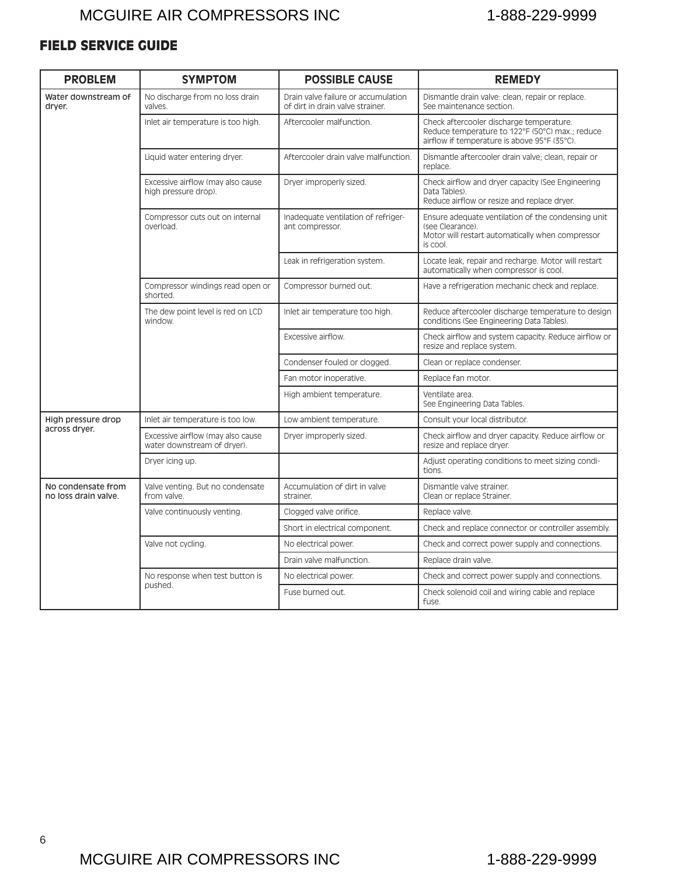# <span id="page-7-0"></span>FIELD SERVICE GUIDE

| <b>PROBLEM</b>                             | <b>SYMPTOM</b>                                                   | <b>POSSIBLE CAUSE</b>                                                   | <b>REMEDY</b>                                                                                                                               |
|--------------------------------------------|------------------------------------------------------------------|-------------------------------------------------------------------------|---------------------------------------------------------------------------------------------------------------------------------------------|
| Water downstream of<br>drver.              | No discharge from no loss drain<br>valves.                       | Drain valve failure or accumulation<br>of dirt in drain valve strainer. | Dismantle drain valve: clean, repair or replace.<br>See maintenance section.                                                                |
|                                            | Inlet air temperature is too high.                               | Aftercooler malfunction.                                                | Check aftercooler discharge temperature.<br>Reduce temperature to 122°F (50°C) max.; reduce<br>airflow if temperature is above 95°F (35°C). |
|                                            | Liquid water entering dryer.                                     | Aftercooler drain valve malfunction.                                    | Dismantle aftercooler drain valve; clean, repair or<br>replace.                                                                             |
|                                            | Excessive airflow (may also cause<br>high pressure drop).        | Dryer improperly sized.                                                 | Check airflow and dryer capacity (See Engineering<br>Data Tables).<br>Reduce airflow or resize and replace dryer.                           |
|                                            | Compressor cuts out on internal<br>overload.                     | Inadequate ventilation of refriger-<br>ant compressor.                  | Ensure adequate ventilation of the condensing unit<br>(see Clearance).<br>Motor will restart automatically when compressor<br>is cool.      |
|                                            |                                                                  | Leak in refrigeration system.                                           | Locate leak, repair and recharge. Motor will restart<br>automatically when compressor is cool.                                              |
|                                            | Compressor windings read open or<br>shorted.                     | Compressor burned out.                                                  | Have a refrigeration mechanic check and replace.                                                                                            |
|                                            | The dew point level is red on LCD<br>window.                     | Inlet air temperature too high.                                         | Reduce aftercooler discharge temperature to design<br>conditions (See Engineering Data Tables).                                             |
|                                            |                                                                  | Excessive airflow.                                                      | Check airflow and system capacity. Reduce airflow or<br>resize and replace system.                                                          |
|                                            |                                                                  | Condenser fouled or clogged.                                            | Clean or replace condenser.                                                                                                                 |
|                                            |                                                                  | Fan motor inoperative.                                                  | Replace fan motor.                                                                                                                          |
|                                            |                                                                  | High ambient temperature.                                               | Ventilate area.<br>See Engineering Data Tables.                                                                                             |
| High pressure drop                         | Inlet air temperature is too low.                                | Low ambient temperature.                                                | Consult your local distributor.                                                                                                             |
| across dryer.                              | Excessive airflow (may also cause<br>water downstream of dryer). | Dryer improperly sized.                                                 | Check airflow and dryer capacity. Reduce airflow or<br>resize and replace dryer.                                                            |
|                                            | Dryer icing up.                                                  |                                                                         | Adjust operating conditions to meet sizing condi-<br>tions.                                                                                 |
| No condensate from<br>no loss drain valve. | Valve venting. But no condensate<br>from valve.                  | Accumulation of dirt in valve<br>strainer.                              | Dismantle valve strainer.<br>Clean or replace Strainer.                                                                                     |
|                                            | Valve continuously venting.                                      | Clogged valve orifice.                                                  | Replace valve.                                                                                                                              |
|                                            |                                                                  | Short in electrical component.                                          | Check and replace connector or controller assembly.                                                                                         |
|                                            | Valve not cycling.                                               | No electrical power.                                                    | Check and correct power supply and connections.                                                                                             |
|                                            |                                                                  | Drain valve malfunction.                                                | Replace drain valve.                                                                                                                        |
|                                            | No response when test button is                                  | No electrical power.                                                    | Check and correct power supply and connections.                                                                                             |
|                                            | pushed.                                                          | Fuse burned out.                                                        | Check solenoid coil and wiring cable and replace<br>fuse.                                                                                   |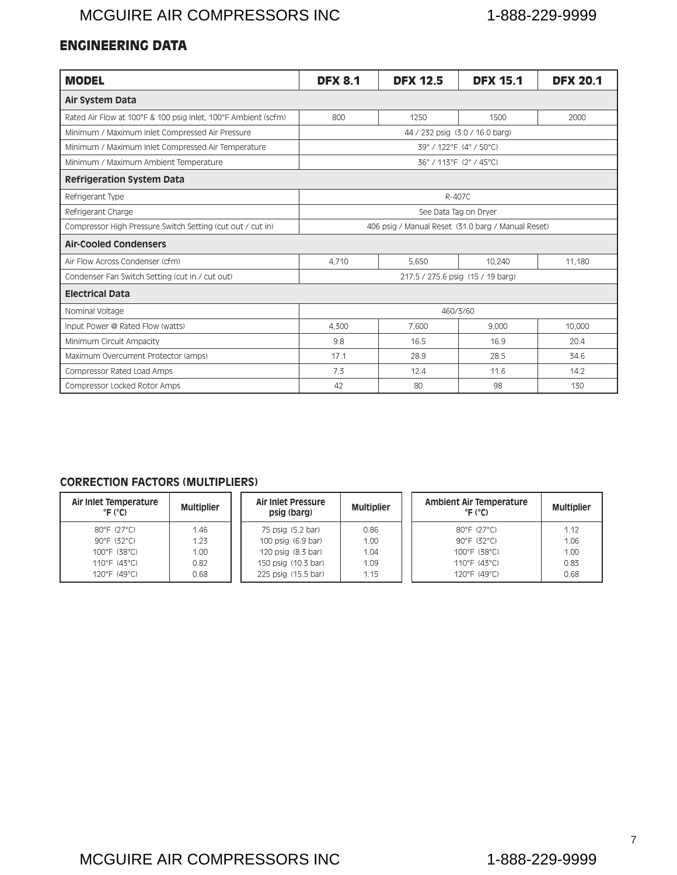# <span id="page-8-0"></span>ENGINEERING DATA

| <b>MODEL</b>                                                   | <b>DFX 8.1</b>                                     | <b>DFX 12.5</b> | <b>DFX 15.1</b>                   | <b>DFX 20.1</b> |  |  |  |  |
|----------------------------------------------------------------|----------------------------------------------------|-----------------|-----------------------------------|-----------------|--|--|--|--|
| Air System Data                                                |                                                    |                 |                                   |                 |  |  |  |  |
| Rated Air Flow at 100°F & 100 psig Inlet, 100°F Ambient (scfm) | 800                                                | 1250            | 1500                              | 2000            |  |  |  |  |
| Minimum / Maximum Inlet Compressed Air Pressure                |                                                    |                 | 44 / 232 psig (3.0 / 16.0 barg)   |                 |  |  |  |  |
| Minimum / Maximum Inlet Compressed Air Temperature             |                                                    |                 | 39° / 122° F (4° / 50° C)         |                 |  |  |  |  |
| Minimum / Maximum Ambient Temperature                          |                                                    |                 | 36°/113°F (2°/45°C)               |                 |  |  |  |  |
| <b>Refrigeration System Data</b>                               |                                                    |                 |                                   |                 |  |  |  |  |
| R-407C<br>Refrigerant Type                                     |                                                    |                 |                                   |                 |  |  |  |  |
| Refrigerant Charge                                             | See Data Tag on Dryer                              |                 |                                   |                 |  |  |  |  |
| Compressor High Pressure Switch Setting (cut out / cut in)     | 406 psig / Manual Reset (31.0 barg / Manual Reset) |                 |                                   |                 |  |  |  |  |
| <b>Air-Cooled Condensers</b>                                   |                                                    |                 |                                   |                 |  |  |  |  |
| Air Flow Across Condenser (cfm)                                | 4.710                                              | 5.650           | 10.240                            | 11.180          |  |  |  |  |
| Condenser Fan Switch Setting (cut in / cut out)                |                                                    |                 | 217.5 / 275.6 psig (15 / 19 barg) |                 |  |  |  |  |
| <b>Electrical Data</b>                                         |                                                    |                 |                                   |                 |  |  |  |  |
| Nominal Voltage                                                |                                                    |                 | 460/3/60                          |                 |  |  |  |  |
| Input Power @ Rated Flow (watts)                               | 10,000<br>4.300<br>7.600<br>9,000                  |                 |                                   |                 |  |  |  |  |
| Minimum Circuit Ampacity                                       | 9.8                                                | 16.5            | 16.9                              | 20.4            |  |  |  |  |
| Maximum Overcurrent Protector (amps)                           | 17.1                                               | 28.9            | 28.5                              | 34.6            |  |  |  |  |
| <b>Compressor Rated Load Amps</b>                              | 7.3                                                | 12.4            | 11.6                              | 14.2            |  |  |  |  |
| <b>Compressor Locked Rotor Amps</b>                            | 42                                                 | 80              | 98                                | 130             |  |  |  |  |

#### **CORRECTION FACTORS (MULTIPLIERS)**

| Air Inlet Temperature<br>$^{\circ}$ F ( $^{\circ}$ C) | <b>Multiplier</b> | <b>Air Inlet Pressure</b><br>psig (barg) | <b>Multiplier</b> | <b>Ambient Air Temperature</b><br><b>Multiplier</b><br>$^{\circ}$ F ( $^{\circ}$ C) |
|-------------------------------------------------------|-------------------|------------------------------------------|-------------------|-------------------------------------------------------------------------------------|
| $80^{\circ}$ F (27 $^{\circ}$ C)                      | 1.46              | 75 psig (5.2 bar)                        | 0.86              | $80^{\circ}$ F (27 $^{\circ}$ C)<br>1.12                                            |
| $90^{\circ}$ F (32 $^{\circ}$ C)                      | 1.23              | 100 psig (6.9 bar)                       | 1.00              | 1.06<br>$90^{\circ}$ F (32 $^{\circ}$ C)                                            |
| $100^{\circ}$ F (38 $^{\circ}$ C)                     | 1.00              | 120 psig (8.3 bar)                       | 1.04              | 1.00<br>$100^{\circ}$ F (38°C)                                                      |
| 110°F (43°C)                                          | 0.82              | 150 psig (10.3 bar)                      | 1.09              | 0.83<br>$110^{\circ}$ F (43°C)                                                      |
| $120^{\circ}$ F (49 $^{\circ}$ C)                     | 0.68              | 225 psig (15.5 bar)                      | 1.15              | $120^{\circ}$ F (49 $^{\circ}$ C)<br>0.68                                           |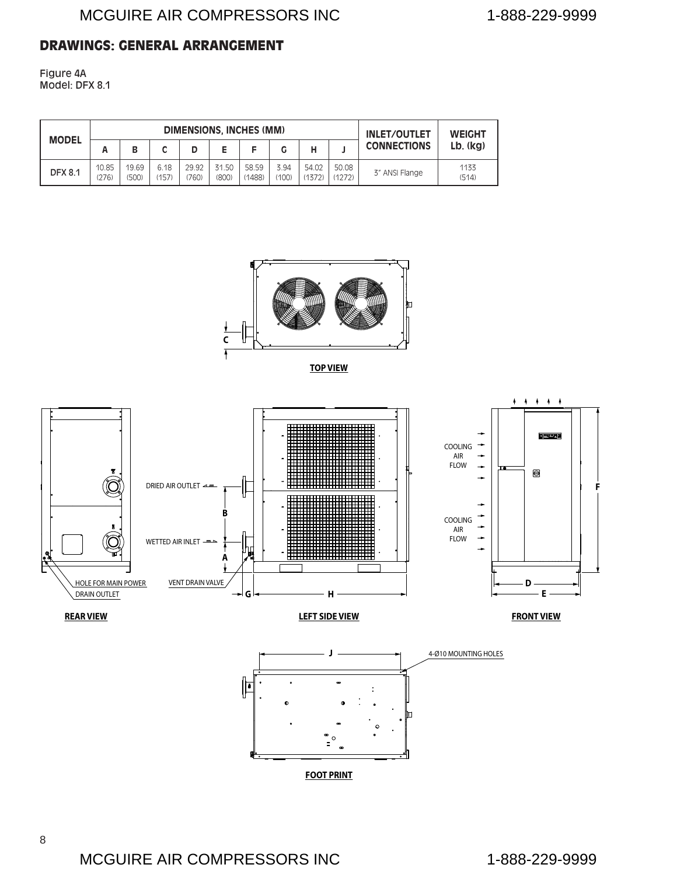#### <span id="page-9-0"></span>DRAWINGS: GENERAL ARRANGEMENT

Figure 4A Model: DFX 8.1

|                |                |                |               | <b>DIMENSIONS, INCHES (MM)</b> | <b>INLET/OUTLET</b> | <b>WEIGHT</b>   |               |                 |                 |                    |                |
|----------------|----------------|----------------|---------------|--------------------------------|---------------------|-----------------|---------------|-----------------|-----------------|--------------------|----------------|
| <b>MODEL</b>   | А              | В              |               |                                |                     |                 |               |                 |                 | <b>CONNECTIONS</b> | $Lb.$ ( $kq$ ) |
| <b>DFX 8.1</b> | 10.85<br>(276) | 19.69<br>(500) | 6.18<br>(157) | 29.92<br>760)                  | 31.50<br>(800)      | 58.59<br>(1488) | 3.94<br>(100) | 54.02<br>(1372) | 50.08<br>(1272) | 3" ANSI Flange     | 1133<br>(514)  |



**TOP VIEW**

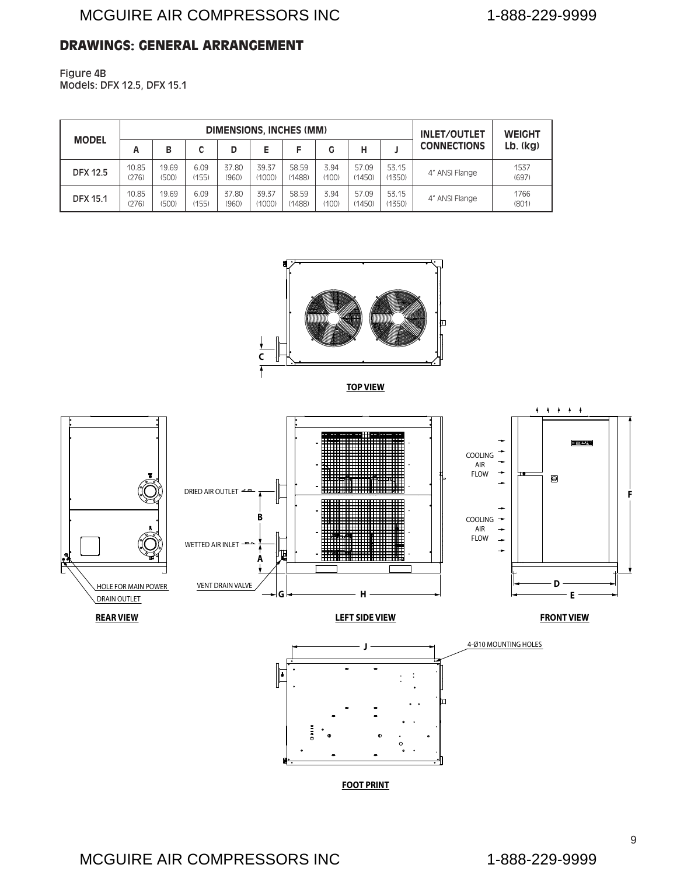#### <span id="page-10-0"></span>DRAWINGS: GENERAL ARRANGEMENT

Figure 4B Models: DFX 12.5, DFX 15.1

| <b>MODEL</b>    |                |                | DIMENSIONS, INCHES (MM) | <b>INLET/OUTLET</b> | <b>WEIGHT</b>   |                 |               |                 |                 |                    |               |
|-----------------|----------------|----------------|-------------------------|---------------------|-----------------|-----------------|---------------|-----------------|-----------------|--------------------|---------------|
|                 | A              | В              |                         | D                   | E               |                 | G             | н               |                 | <b>CONNECTIONS</b> | Lb. (kg)      |
| <b>DFX 12.5</b> | 10.85<br>(276) | 19.69<br>(500) | 6.09<br>(155)           | 37.80<br>(960)      | 39.37<br>(1000) | 58.59<br>(1488) | 3.94<br>(100) | 57.09<br>(1450) | 53.15<br>(1350) | 4" ANSI Flange     | 1537<br>(697) |
| <b>DFX 15.1</b> | 10.85<br>(276) | 19.69<br>(500) | 6.09<br>(155)           | 37.80<br>(960)      | 39.37<br>(1000) | 58.59<br>(1488) | 3.94<br>(100) | 57.09<br>(1450) | 53.15<br>(1350) | 4" ANSI Flange     | 1766<br>(801) |



**TOP VIEW**

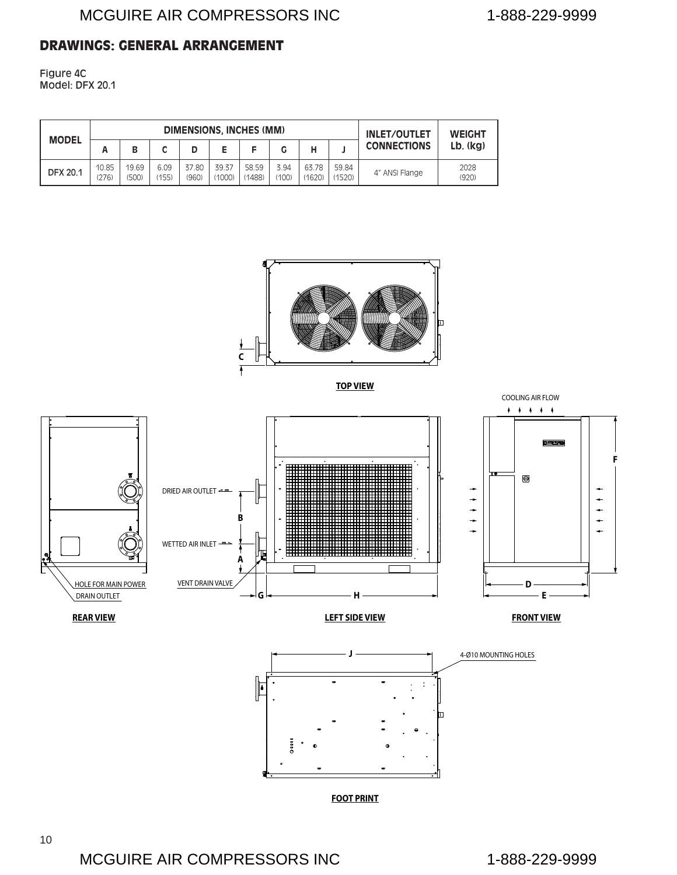#### <span id="page-11-0"></span>DRAWINGS: GENERAL ARRANGEMENT

Figure 4C Model: DFX 20.1

| <b>MODEL</b>    |                | <b>DIMENSIONS. INCHES (MM)</b> |               |                |                 |                 |               |                 |                    | <b>INLET/OUTLET</b> | <b>WEIGHT</b> |
|-----------------|----------------|--------------------------------|---------------|----------------|-----------------|-----------------|---------------|-----------------|--------------------|---------------------|---------------|
|                 | Α              | В                              | r             |                |                 |                 |               |                 | <b>CONNECTIONS</b> | $Lb.$ ( $kq$ )      |               |
| <b>DFX 20.1</b> | 10.85<br>(276) | 19.69<br>(500)                 | 6.09<br>(155) | 37.80<br>(960) | 39.37<br>(1000) | 58.59<br>(1488) | 3.94<br>(100) | 63.78<br>(1620) | 59.84<br>(1520)    | 4" ANSI Flange      | 2028<br>(920) |



**TOP VIEW**

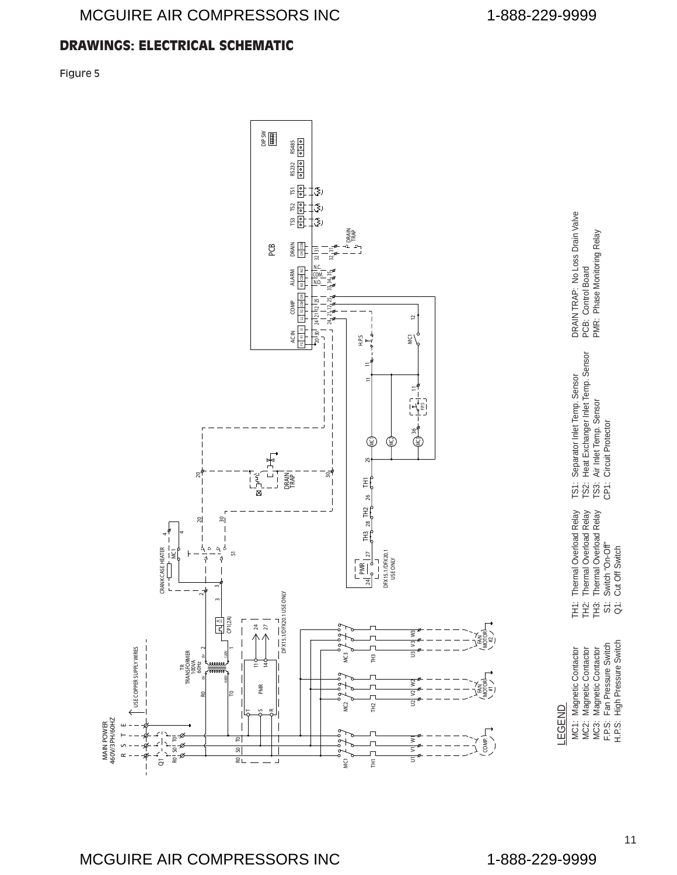### <span id="page-12-0"></span>DRAWINGS: ELECTRICAL SCHEMATIC

Figure 5

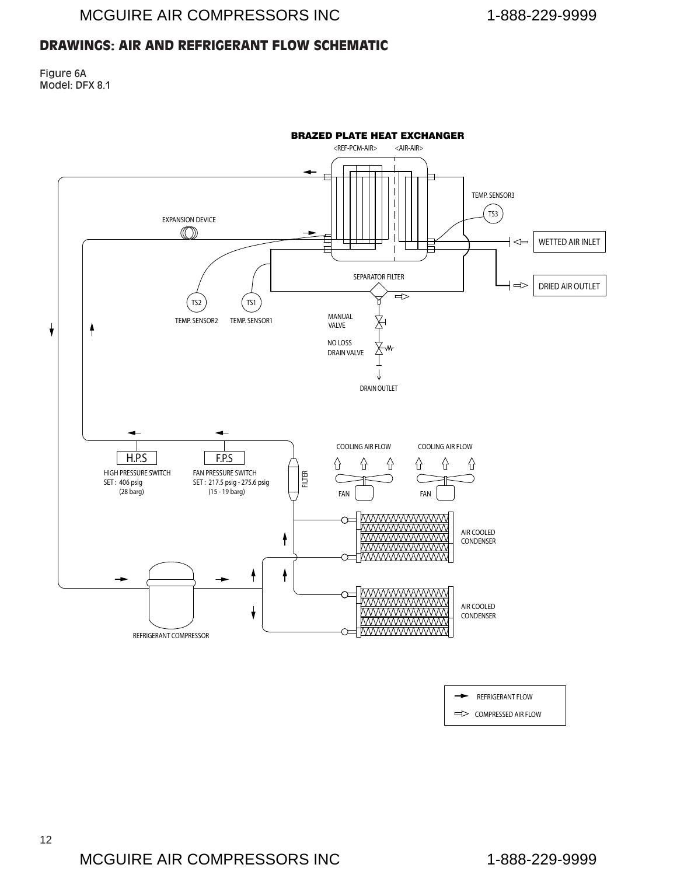#### <span id="page-13-0"></span>DRAWINGS: AIR AND REFRIGERANT FLOW SCHEMATIC

Figure 6A Model: DFX 8.1



REFRIGERANT FLOW

COMPRESSED AIR FLOW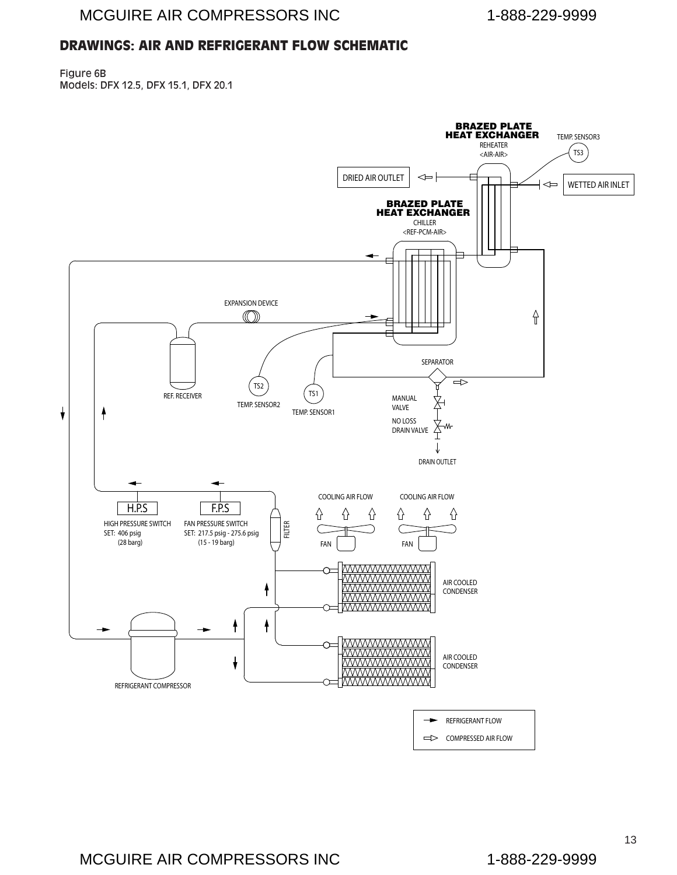# <span id="page-14-0"></span>DRAWINGS: AIR AND REFRIGERANT FLOW SCHEMATIC

Figure 6B Models: DFX 12.5, DFX 15.1, DFX 20.1

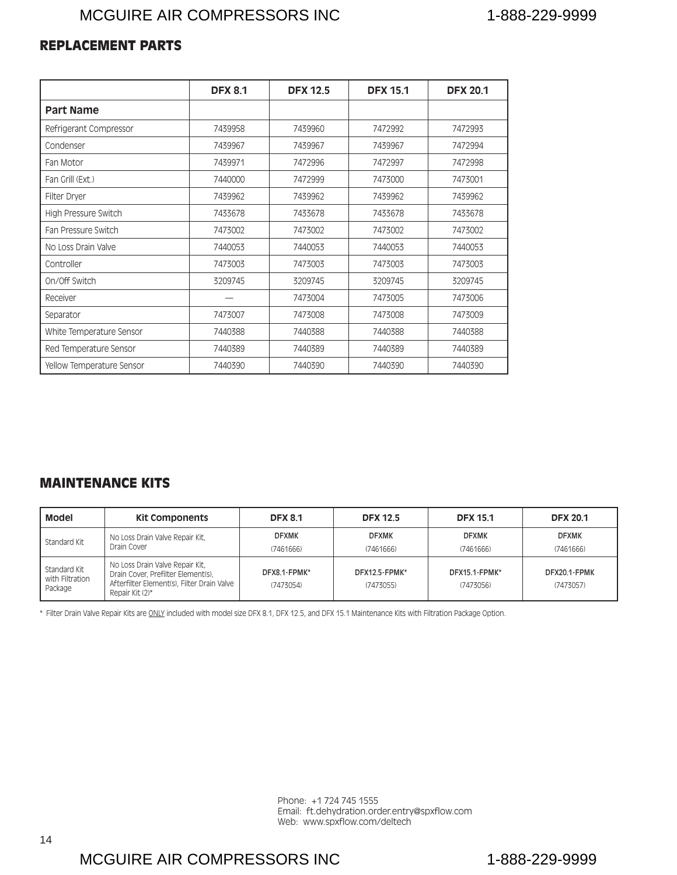#### <span id="page-15-0"></span>REPLACEMENT PARTS

|                           | <b>DFX 8.1</b> | <b>DFX 12.5</b> | <b>DFX 15.1</b> | <b>DFX 20.1</b> |
|---------------------------|----------------|-----------------|-----------------|-----------------|
| <b>Part Name</b>          |                |                 |                 |                 |
| Refrigerant Compressor    | 7439958        | 7439960         | 7472992         | 7472993         |
| Condenser                 | 7439967        | 7439967         | 7439967         | 7472994         |
| Fan Motor                 | 7439971        | 7472996         | 7472997         | 7472998         |
| Fan Grill (Ext.)          | 7440000        | 7472999         | 7473000         | 7473001         |
| Filter Dryer              | 7439962        | 7439962         | 7439962         | 7439962         |
| High Pressure Switch      | 7433678        | 7433678         | 7433678         | 7433678         |
| Fan Pressure Switch       | 7473002        | 7473002         | 7473002         | 7473002         |
| No Loss Drain Valve       | 7440053        | 7440053         | 7440053         | 7440053         |
| Controller                | 7473003        | 7473003         | 7473003         | 7473003         |
| On/Off Switch             | 3209745        | 3209745         | 3209745         | 3209745         |
| Receiver                  |                | 7473004         | 7473005         | 7473006         |
| Separator                 | 7473007        | 7473008         | 7473008         | 7473009         |
| White Temperature Sensor  | 7440388        | 7440388         | 7440388         | 7440388         |
| Red Temperature Sensor    | 7440389        | 7440389         | 7440389         | 7440389         |
| Yellow Temperature Sensor | 7440390        | 7440390         | 7440390         | 7440390         |

#### MAINTENANCE KITS

| <b>Model</b>                               | <b>Kit Components</b>                                                                                                                  | <b>DFX 8.1</b>            | <b>DFX 12.5</b>            | <b>DFX 15.1</b>            | <b>DFX 20.1</b>           |
|--------------------------------------------|----------------------------------------------------------------------------------------------------------------------------------------|---------------------------|----------------------------|----------------------------|---------------------------|
| Standard Kit                               | No Loss Drain Valve Repair Kit,<br>Drain Cover                                                                                         | <b>DFXMK</b><br>(7461666) | <b>DFXMK</b><br>(7461666)  | <b>DFXMK</b><br>(7461666)  | <b>DFXMK</b><br>(7461666) |
| Standard Kit<br>with Filtration<br>Package | No Loss Drain Valve Repair Kit,<br>Drain Cover, Prefilter Element(s),<br>Afterfilter Element(s), Filter Drain Valve<br>Repair Kit (2)* | DFX8.1-FPMK*<br>(7473054) | DFX12.5-FPMK*<br>(7473055) | DFX15.1-FPMK*<br>(7473056) | DFX20.1-FPMK<br>(7473057) |

\* Filter Drain Valve Repair Kits are ONLY included with model size DFX 8.1, DFX 12.5, and DFX 15.1 Maintenance Kits with Filtration Package Option.

Phone: +1 724 745 1555 Email: ft.dehydration.order.entry@spxflow.com Web: www.spxflow.com/deltech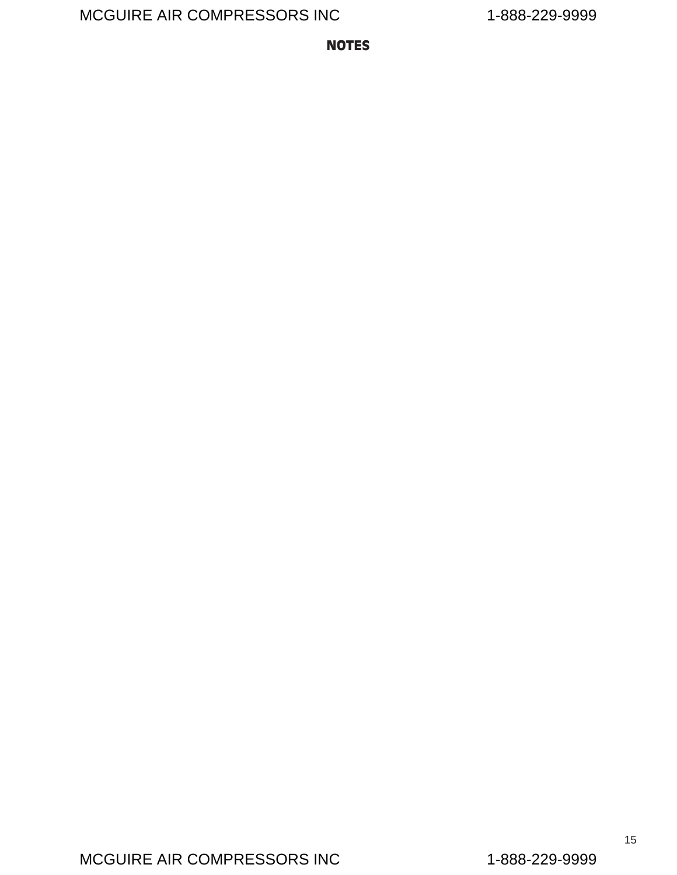<span id="page-16-0"></span>NOTES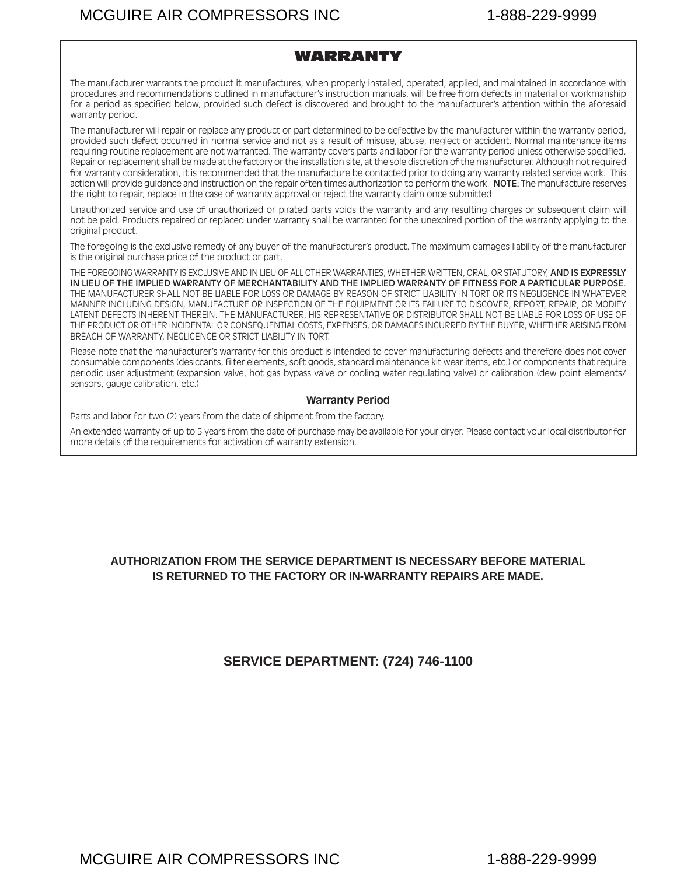#### WARRANTY

<span id="page-18-0"></span>The manufacturer warrants the product it manufactures, when properly installed, operated, applied, and maintained in accordance with procedures and recommendations outlined in manufacturer's instruction manuals, will be free from defects in material or workmanship for a period as specified below, provided such defect is discovered and brought to the manufacturer's attention within the aforesaid warranty period.

The manufacturer will repair or replace any product or part determined to be defective by the manufacturer within the warranty period, provided such defect occurred in normal service and not as a result of misuse, abuse, neglect or accident. Normal maintenance items requiring routine replacement are not warranted. The warranty covers parts and labor for the warranty period unless otherwise specified. Repair or replacement shall be made at the factory or the installation site, at the sole discretion of the manufacturer. Although not required for warranty consideration, it is recommended that the manufacture be contacted prior to doing any warranty related service work. This action will provide guidance and instruction on the repair often times authorization to perform the work. NOTE: The manufacture reserves the right to repair, replace in the case of warranty approval or reject the warranty claim once submitted.

Unauthorized service and use of unauthorized or pirated parts voids the warranty and any resulting charges or subsequent claim will not be paid. Products repaired or replaced under warranty shall be warranted for the unexpired portion of the warranty applying to the original product.

The foregoing is the exclusive remedy of any buyer of the manufacturer's product. The maximum damages liability of the manufacturer is the original purchase price of the product or part.

THE FOREGOING WARRANTY IS EXCLUSIVE AND IN LIEU OF ALL OTHER WARRANTIES, WHETHER WRITTEN, ORAL, OR STATUTORY, AND IS EXPRESSLY IN LIEU OF THE IMPLIED WARRANTY OF MERCHANTABILITY AND THE IMPLIED WARRANTY OF FITNESS FOR A PARTICULAR PURPOSE. THE MANUFACTURER SHALL NOT BE LIABLE FOR LOSS OR DAMAGE BY REASON OF STRICT LIABILITY IN TORT OR ITS NEGLIGENCE IN WHATEVER MANNER INCLUDING DESIGN, MANUFACTURE OR INSPECTION OF THE EQUIPMENT OR ITS FAILURE TO DISCOVER, REPORT, REPAIR, OR MODIFY LATENT DEFECTS INHERENT THEREIN. THE MANUFACTURER, HIS REPRESENTATIVE OR DISTRIBUTOR SHALL NOT BE LIABLE FOR LOSS OF USE OF THE PRODUCT OR OTHER INCIDENTAL OR CONSEQUENTIAL COSTS, EXPENSES, OR DAMAGES INCURRED BY THE BUYER, WHETHER ARISING FROM BREACH OF WARRANTY, NEGLIGENCE OR STRICT LIABILITY IN TORT.

Please note that the manufacturer's warranty for this product is intended to cover manufacturing defects and therefore does not cover consumable components (desiccants, filter elements, soft goods, standard maintenance kit wear items, etc.) or components that require periodic user adjustment (expansion valve, hot gas bypass valve or cooling water regulating valve) or calibration (dew point elements/ sensors, gauge calibration, etc.)

#### **Warranty Period**

Parts and labor for two (2) years from the date of shipment from the factory.

An extended warranty of up to 5 years from the date of purchase may be available for your dryer. Please contact your local distributor for more details of the requirements for activation of warranty extension.

#### **AUTHORIZATION FROM THE SERVICE DEPARTMENT IS NECESSARY BEFORE MATERIAL IS RETURNED TO THE FACTORY OR IN-WARRANTY REPAIRS ARE MADE.**

#### **SERVICE DEPARTMENT: (724) 746-1100**